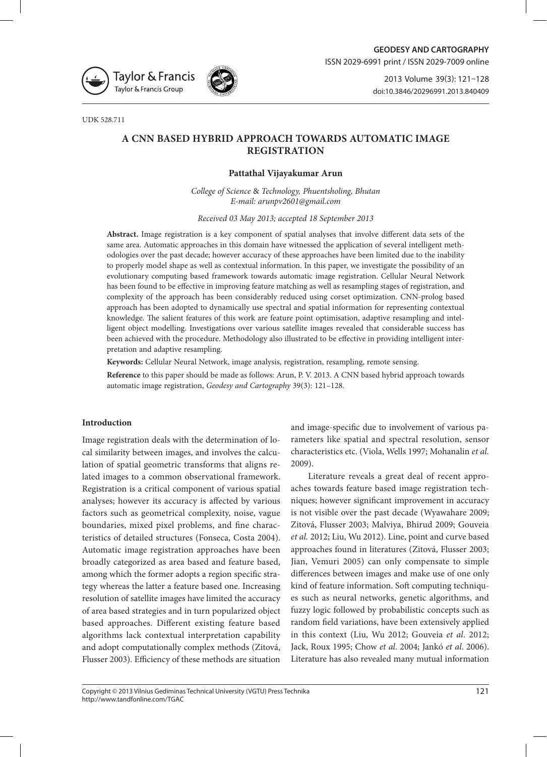

UDK 528.711

2013 Volume 39(3): 121–128 doi:10.3846/20296991.2013.840409

# **A CNN BASED HYBRID APPROACH TOWARDS AUTOMATIC IMAGE REGISTRATION**

# **Pattathal Vijayakumar Arun**

*College of Science* & *Technology, Phuentsholing, Bhutan E-mail: arunpv2601@gmail.com*

*Received 03 May 2013; accepted 18 September 2013*

**Abstract.** Image registration is a key component of spatial analyses that involve different data sets of the same area. Automatic approaches in this domain have witnessed the application of several intelligent methodologies over the past decade; however accuracy of these approaches have been limited due to the inability to properly model shape as well as contextual information. In this paper, we investigate the possibility of an evolutionary computing based framework towards automatic image registration. Cellular Neural Network has been found to be effective in improving feature matching as well as resampling stages of registration, and complexity of the approach has been considerably reduced using corset optimization. CNN-prolog based approach has been adopted to dynamically use spectral and spatial information for representing contextual knowledge. The salient features of this work are feature point optimisation, adaptive resampling and intelligent object modelling. Investigations over various satellite images revealed that considerable success has been achieved with the procedure. Methodology also illustrated to be effective in providing intelligent interpretation and adaptive resampling.

**Keywords:** Cellular Neural Network, image analysis, registration, resampling, remote sensing.

**Reference** to this paper should be made as follows: Arun, P. V. 2013. A CNN based hybrid approach towards automatic image registration, *Geodesy and Cartography* 39(3): 121–128.

## **Introduction**

Image registration deals with the determination of local similarity between images, and involves the calculation of spatial geometric transforms that aligns related images to a common observational framework. Registration is a critical component of various spatial analyses; however its accuracy is affected by various factors such as geometrical complexity, noise, vague boundaries, mixed pixel problems, and fine characteristics of detailed structures (Fonseca, Costa 2004). Automatic image registration approaches have been broadly categorized as area based and feature based, among which the former adopts a region specific strategy whereas the latter a feature based one. Increasing resolution of satellite images have limited the accuracy of area based strategies and in turn popularized object based approaches. Different existing feature based algorithms lack contextual interpretation capability and adopt computationally complex methods (Zitová, Flusser 2003). Efficiency of these methods are situation

and image-specific due to involvement of various parameters like spatial and spectral resolution, sensor characteristics etc. (Viola, Wells 1997; Mohanalin *et al*. 2009).

Literature reveals a great deal of recent approaches towards feature based image registration techniques; however significant improvement in accuracy is not visible over the past decade (Wyawahare 2009; Zitová, Flusser 2003; Malviya, Bhirud 2009; Gouveia *et al.* 2012; Liu, Wu 2012). Line, point and curve based approaches found in literatures (Zitová, Flusser 2003; Jian, Vemuri 2005) can only compensate to simple differences between images and make use of one only kind of feature information. Soft computing techniques such as neural networks, genetic algorithms, and fuzzy logic followed by probabilistic concepts such as random field variations, have been extensively applied in this context (Liu, Wu 2012; Gouveia *et al*. 2012; Jack, Roux 1995; Chow *et al*. 2004; Jankó *et al*. 2006). Literature has also revealed many mutual information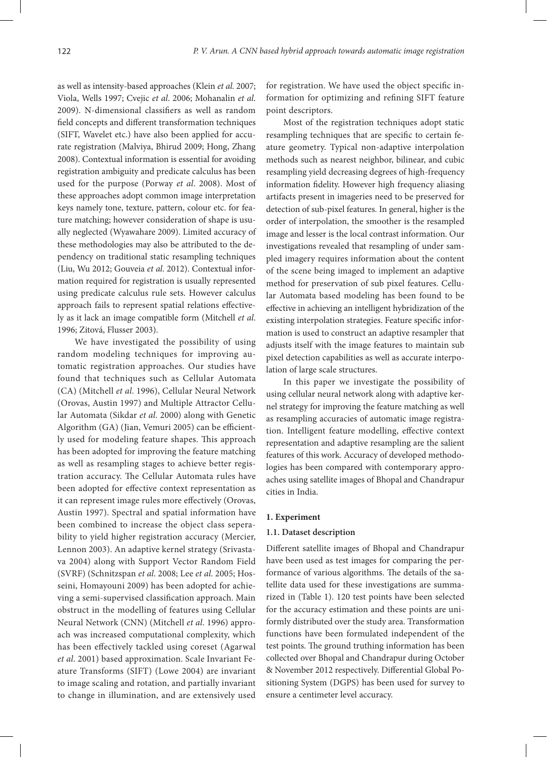as well as intensity-based approaches (Klein *et al.* 2007; Viola, Wells 1997; Cvejic *et al*. 2006; Mohanalin *et al*. 2009). N-dimensional classifiers as well as random field concepts and different transformation techniques (SIFT, Wavelet etc.) have also been applied for accurate registration (Malviya, Bhirud 2009; Hong, Zhang 2008). Contextual information is essential for avoiding registration ambiguity and predicate calculus has been used for the purpose (Porway *et al*. 2008). Most of these approaches adopt common image interpretation keys namely tone, texture, pattern, colour etc. for feature matching; however consideration of shape is usually neglected (Wyawahare 2009). Limited accuracy of these methodologies may also be attributed to the dependency on traditional static resampling techniques (Liu, Wu 2012; Gouveia *et al*. 2012). Contextual information required for registration is usually represented using predicate calculus rule sets. However calculus approach fails to represent spatial relations effectively as it lack an image compatible form (Mitchell *et al*. 1996; Zitová, Flusser 2003).

We have investigated the possibility of using random modeling techniques for improving automatic registration approaches. Our studies have found that techniques such as Cellular Automata (CA) (Mitchell *et al*. 1996), Cellular Neural Network (Orovas, Austin 1997) and Multiple Attractor Cellular Automata (Sikdar *et al*. 2000) along with Genetic Algorithm (GA) (Jian, Vemuri 2005) can be efficiently used for modeling feature shapes. This approach has been adopted for improving the feature matching as well as resampling stages to achieve better registration accuracy. The Cellular Automata rules have been adopted for effective context representation as it can represent image rules more effectively (Orovas, Austin 1997). Spectral and spatial information have been combined to increase the object class seperability to yield higher registration accuracy (Mercier, Lennon 2003). An adaptive kernel strategy (Srivastava 2004) along with Support Vector Random Field (SVRF) (Schnitzspan *et al*. 2008; Lee *et al*. 2005; Hosseini, Homayouni 2009) has been adopted for achieving a semi-supervised classification approach. Main obstruct in the modelling of features using Cellular Neural Network (CNN) (Mitchell *et al*. 1996) approach was increased computational complexity, which has been effectively tackled using coreset (Agarwal *et al*. 2001) based approximation. Scale Invariant Feature Transforms (SIFT) (Lowe 2004) are invariant to image scaling and rotation, and partially invariant to change in illumination, and are extensively used

for registration. We have used the object specific information for optimizing and refining SIFT feature point descriptors.

Most of the registration techniques adopt static resampling techniques that are specific to certain feature geometry. Typical non-adaptive interpolation methods such as nearest neighbor, bilinear, and cubic resampling yield decreasing degrees of high-frequency information fidelity. However high frequency aliasing artifacts present in imageries need to be preserved for detection of sub-pixel features. In general, higher is the order of interpolation, the smoother is the resampled image and lesser is the local contrast information. Our investigations revealed that resampling of under sampled imagery requires information about the content of the scene being imaged to implement an adaptive method for preservation of sub pixel features. Cellular Automata based modeling has been found to be effective in achieving an intelligent hybridization of the existing interpolation strategies. Feature specific information is used to construct an adaptive resampler that adjusts itself with the image features to maintain sub pixel detection capabilities as well as accurate interpolation of large scale structures.

In this paper we investigate the possibility of using cellular neural network along with adaptive kernel strategy for improving the feature matching as well as resampling accuracies of automatic image registration. Intelligent feature modelling, effective context representation and adaptive resampling are the salient features of this work. Accuracy of developed methodologies has been compared with contemporary approaches using satellite images of Bhopal and Chandrapur cities in India.

## **1. Experiment**

## **1.1. Dataset description**

Different satellite images of Bhopal and Chandrapur have been used as test images for comparing the performance of various algorithms. The details of the satellite data used for these investigations are summarized in (Table 1). 120 test points have been selected for the accuracy estimation and these points are uniformly distributed over the study area. Transformation functions have been formulated independent of the test points. The ground truthing information has been collected over Bhopal and Chandrapur during October & November 2012 respectively. Differential Global Positioning System (DGPS) has been used for survey to ensure a centimeter level accuracy.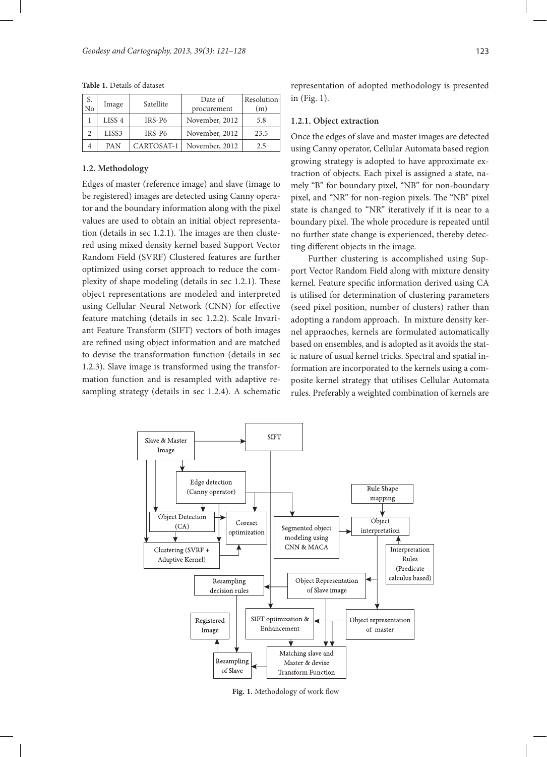| S.<br>N <sub>o</sub> | Image             | Satellite  | Date of<br>procurement | Resolution<br>(m) |
|----------------------|-------------------|------------|------------------------|-------------------|
|                      | LISS <sub>4</sub> | IRS-P6     | November, 2012         | 5.8               |
|                      | LISS <sub>3</sub> | IRS-P6     | November, 2012         | 23.5              |
| 4                    | <b>PAN</b>        | CARTOSAT-1 | November, 2012         | 2.5               |

**Table 1.** Details of dataset

#### **1.2. Methodology**

Edges of master (reference image) and slave (image to be registered) images are detected using Canny operator and the boundary information along with the pixel values are used to obtain an initial object representation (details in sec 1.2.1). The images are then clustered using mixed density kernel based Support Vector Random Field (SVRF) Clustered features are further optimized using corset approach to reduce the complexity of shape modeling (details in sec 1.2.1). These object representations are modeled and interpreted using Cellular Neural Network (CNN) for effective feature matching (details in sec 1.2.2). Scale Invariant Feature Transform (SIFT) vectors of both images are refined using object information and are matched to devise the transformation function (details in sec 1.2.3). Slave image is transformed using the transformation function and is resampled with adaptive resampling strategy (details in sec 1.2.4). A schematic

representation of adopted methodology is presented in (Fig. 1).

#### **1.2.1. Object extraction**

Once the edges of slave and master images are detected using Canny operator, Cellular Automata based region growing strategy is adopted to have approximate extraction of objects. Each pixel is assigned a state, namely "B" for boundary pixel, "NB" for non-boundary pixel, and "NR" for non-region pixels. The "NB" pixel state is changed to "NR" iteratively if it is near to a boundary pixel. The whole procedure is repeated until no further state change is experienced, thereby detecting different objects in the image.

Further clustering is accomplished using Support Vector Random Field along with mixture density kernel. Feature specific information derived using CA is utilised for determination of clustering parameters (seed pixel position, number of clusters) rather than adopting a random approach. In mixture density kernel appraoches, kernels are formulated automatically based on ensembles, and is adopted as it avoids the static nature of usual kernel tricks. Spectral and spatial information are incorporated to the kernels using a composite kernel strategy that utilises Cellular Automata rules. Preferably a weighted combination of kernels are



**Fig. 1.** Methodology of work flow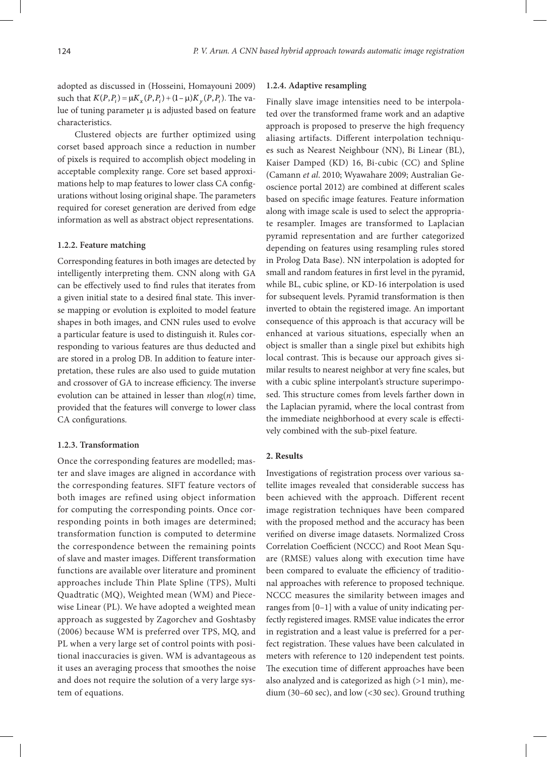adopted as discussed in (Hosseini, Homayouni 2009) such that  $K(P, P_i) = \mu K_x(P, P_i) + (1 - \mu)K_y(P, P_i)$ . The value of tuning parameter  $\mu$  is adjusted based on feature characteristics.

Clustered objects are further optimized using corset based approach since a reduction in number of pixels is required to accomplish object modeling in acceptable complexity range. Core set based approximations help to map features to lower class CA configurations without losing original shape. The parameters required for coreset generation are derived from edge information as well as abstract object representations.

#### **1.2.2. Feature matching**

Corresponding features in both images are detected by intelligently interpreting them. CNN along with GA can be effectively used to find rules that iterates from a given initial state to a desired final state. This inverse mapping or evolution is exploited to model feature shapes in both images, and CNN rules used to evolve a particular feature is used to distinguish it. Rules corresponding to various features are thus deducted and are stored in a prolog DB. In addition to feature interpretation, these rules are also used to guide mutation and crossover of GA to increase efficiency. The inverse evolution can be attained in lesser than *n*log(*n*) time, provided that the features will converge to lower class CA configurations.

#### **1.2.3. Transformation**

Once the corresponding features are modelled; master and slave images are aligned in accordance with the corresponding features. SIFT feature vectors of both images are refined using object information for computing the corresponding points. Once corresponding points in both images are determined; transformation function is computed to determine the correspondence between the remaining points of slave and master images. Different transformation functions are available over literature and prominent approaches include Thin Plate Spline (TPS), Multi Quadtratic (MQ), Weighted mean (WM) and Piecewise Linear (PL). We have adopted a weighted mean approach as suggested by Zagorchev and Goshtasby (2006) because WM is preferred over TPS, MQ, and PL when a very large set of control points with positional inaccuracies is given. WM is advantageous as it uses an averaging process that smoothes the noise and does not require the solution of a very large system of equations.

## **1.2.4. Adaptive resampling**

Finally slave image intensities need to be interpolated over the transformed frame work and an adaptive approach is proposed to preserve the high frequency aliasing artifacts. Different interpolation techniques such as Nearest Neighbour (NN), Bi Linear (BL), Kaiser Damped (KD) 16, Bi-cubic (CC) and Spline (Camann *et al*. 2010; Wyawahare 2009; Australian Geoscience portal 2012) are combined at different scales based on specific image features. Feature information along with image scale is used to select the appropriate resampler. Images are transformed to Laplacian pyramid representation and are further categorized depending on features using resampling rules stored in Prolog Data Base). NN interpolation is adopted for small and random features in first level in the pyramid, while BL, cubic spline, or KD-16 interpolation is used for subsequent levels. Pyramid transformation is then inverted to obtain the registered image. An important consequence of this approach is that accuracy will be enhanced at various situations, especially when an object is smaller than a single pixel but exhibits high local contrast. This is because our approach gives similar results to nearest neighbor at very fine scales, but with a cubic spline interpolant's structure superimposed. This structure comes from levels farther down in the Laplacian pyramid, where the local contrast from the immediate neighborhood at every scale is effectively combined with the sub-pixel feature.

## **2. Results**

Investigations of registration process over various satellite images revealed that considerable success has been achieved with the approach. Different recent image registration techniques have been compared with the proposed method and the accuracy has been verified on diverse image datasets. Normalized Cross Correlation Coefficient (NCCC) and Root Mean Square (RMSE) values along with execution time have been compared to evaluate the efficiency of traditional approaches with reference to proposed technique. NCCC measures the similarity between images and ranges from [0–1] with a value of unity indicating perfectly registered images. RMSE value indicates the error in registration and a least value is preferred for a perfect registration. These values have been calculated in meters with reference to 120 independent test points. The execution time of different approaches have been also analyzed and is categorized as high (>1 min), medium (30–60 sec), and low (<30 sec). Ground truthing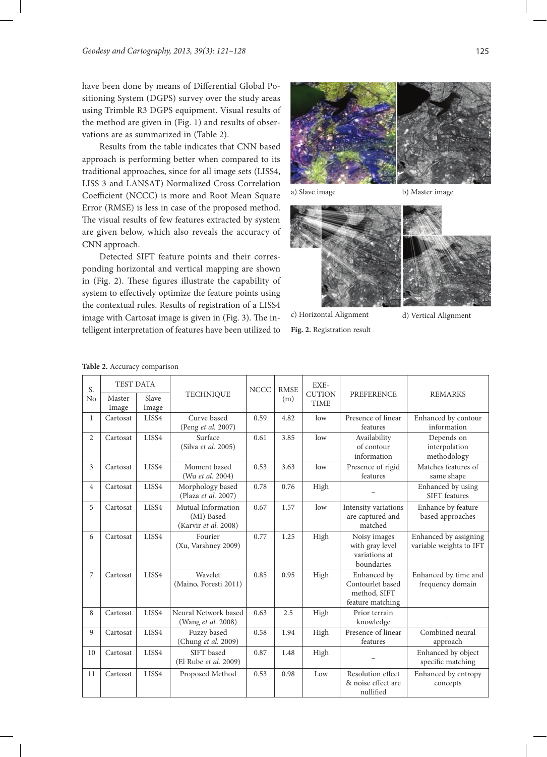have been done by means of Differential Global Positioning System (DGPS) survey over the study areas using Trimble R3 DGPS equipment. Visual results of the method are given in (Fig. 1) and results of observations are as summarized in (Table 2).

Results from the table indicates that CNN based approach is performing better when compared to its traditional approaches, since for all image sets (LISS4, LISS 3 and LANSAT) Normalized Cross Correlation Coefficient (NCCC) is more and Root Mean Square Error (RMSE) is less in case of the proposed method. The visual results of few features extracted by system are given below, which also reveals the accuracy of CNN approach.

Detected SIFT feature points and their corresponding horizontal and vertical mapping are shown in (Fig. 2). These figures illustrate the capability of system to effectively optimize the feature points using the contextual rules. Results of registration of a LISS4 image with Cartosat image is given in (Fig. 3). The intelligent interpretation of features have been utilized to



a) Slave image b) Master image





**Fig. 2.** Registration result c) Horizontal Alignment d) Vertical Alignment

| S.             | <b>TEST DATA</b> |                |                                                          | <b>NCCC</b> | <b>RMSE</b> | EXE-                         |                                                                     |                                                  |
|----------------|------------------|----------------|----------------------------------------------------------|-------------|-------------|------------------------------|---------------------------------------------------------------------|--------------------------------------------------|
| N <sub>o</sub> | Master<br>Image  | Slave<br>Image | <b>TECHNIQUE</b>                                         |             | (m)         | <b>CUTION</b><br><b>TIME</b> | <b>PREFERENCE</b>                                                   | <b>REMARKS</b>                                   |
| $\mathbf{1}$   | Cartosat         | LISS4          | Curve based<br>(Peng et al. 2007)                        | 0.59        | 4.82        | low                          | Presence of linear<br>features                                      | Enhanced by contour<br>information               |
| $\overline{2}$ | Cartosat         | LISS4          | Surface<br>(Silva et al. 2005)                           | 0.61        | 3.85        | low                          | Availability<br>of contour<br>information                           | Depends on<br>interpolation<br>methodology       |
| 3              | Cartosat         | LISS4          | Moment based<br>(Wu et al. 2004)                         | 0.53        | 3.63        | low                          | Presence of rigid<br>features                                       | Matches features of<br>same shape                |
| 4              | Cartosat         | LISS4          | Morphology based<br>(Plaza et al. 2007)                  | 0.78        | 0.76        | High                         |                                                                     | Enhanced by using<br>SIFT features               |
| 5              | Cartosat         | LISS4          | Mutual Information<br>(MI) Based<br>(Karvir et al. 2008) | 0.67        | 1.57        | low                          | Intensity variations<br>are captured and<br>matched                 | Enhance by feature<br>based approaches           |
| 6              | Cartosat         | LISS4          | Fourier<br>(Xu, Varshney 2009)                           | 0.77        | 1.25        | High                         | Noisy images<br>with gray level<br>variations at<br>boundaries      | Enhanced by assigning<br>variable weights to IFT |
| 7              | Cartosat         | LISS4          | Wavelet<br>(Maino, Foresti 2011)                         | 0.85        | 0.95        | High                         | Enhanced by<br>Contourlet based<br>method, SIFT<br>feature matching | Enhanced by time and<br>frequency domain         |
| 8              | Cartosat         | LISS4          | Neural Network based<br>(Wang et al. 2008)               | 0.63        | 2.5         | High                         | Prior terrain<br>knowledge                                          |                                                  |
| 9              | Cartosat         | LISS4          | Fuzzy based<br>(Chung et al. 2009)                       | 0.58        | 1.94        | High                         | Presence of linear<br>features                                      | Combined neural<br>approach                      |
| 10             | Cartosat         | LISS4          | SIFT based<br>(El Rube et al. 2009)                      | 0.87        | 1.48        | High                         |                                                                     | Enhanced by object<br>specific matching          |
| 11             | Cartosat         | LISS4          | Proposed Method                                          | 0.53        | 0.98        | Low                          | Resolution effect<br>& noise effect are<br>nullified                | Enhanced by entropy<br>concepts                  |

#### **Table 2.** Accuracy comparison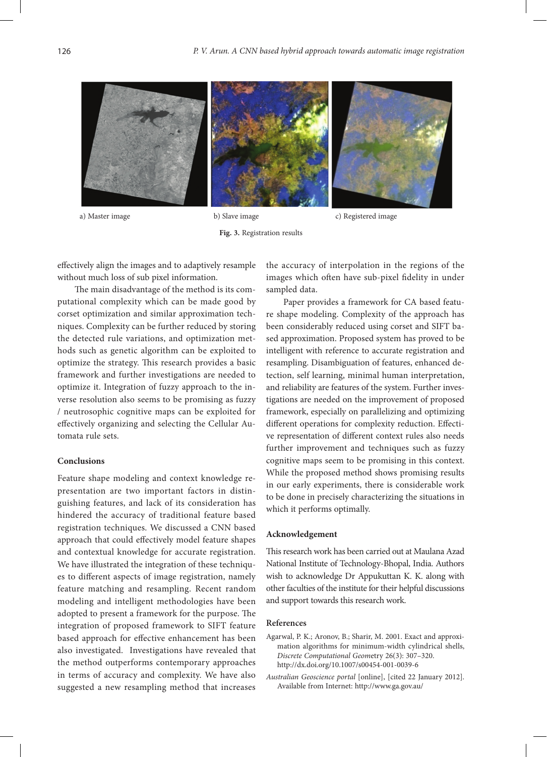

a) Master image b) Slave image c) Registered image

**Fig. 3.** Registration results

effectively align the images and to adaptively resample without much loss of sub pixel information.

The main disadvantage of the method is its computational complexity which can be made good by corset optimization and similar approximation techniques. Complexity can be further reduced by storing the detected rule variations, and optimization methods such as genetic algorithm can be exploited to optimize the strategy. This research provides a basic framework and further investigations are needed to optimize it. Integration of fuzzy approach to the inverse resolution also seems to be promising as fuzzy / neutrosophic cognitive maps can be exploited for effectively organizing and selecting the Cellular Automata rule sets.

## **Conclusions**

Feature shape modeling and context knowledge representation are two important factors in distinguishing features, and lack of its consideration has hindered the accuracy of traditional feature based registration techniques. We discussed a CNN based approach that could effectively model feature shapes and contextual knowledge for accurate registration. We have illustrated the integration of these techniques to different aspects of image registration, namely feature matching and resampling. Recent random modeling and intelligent methodologies have been adopted to present a framework for the purpose. The integration of proposed framework to SIFT feature based approach for effective enhancement has been also investigated. Investigations have revealed that the method outperforms contemporary approaches in terms of accuracy and complexity. We have also suggested a new resampling method that increases

the accuracy of interpolation in the regions of the images which often have sub-pixel fidelity in under sampled data.

Paper provides a framework for CA based feature shape modeling. Complexity of the approach has been considerably reduced using corset and SIFT based approximation. Proposed system has proved to be intelligent with reference to accurate registration and resampling. Disambiguation of features, enhanced detection, self learning, minimal human interpretation, and reliability are features of the system. Further investigations are needed on the improvement of proposed framework, especially on parallelizing and optimizing different operations for complexity reduction. Effective representation of different context rules also needs further improvement and techniques such as fuzzy cognitive maps seem to be promising in this context. While the proposed method shows promising results in our early experiments, there is considerable work to be done in precisely characterizing the situations in which it performs optimally.

#### **Acknowledgement**

This research work has been carried out at Maulana Azad National Institute of Technology-Bhopal, India. Authors wish to acknowledge Dr Appukuttan K. K. along with other faculties of the institute for their helpful discussions and support towards this research work.

#### **References**

- Agarwal, P. K.; Aronov, B.; Sharir, M. 2001. Exact and approximation algorithms for minimum-width cylindrical shells, *Discrete Computational Geom*etry 26(3): 307–320. http://dx.doi.org/10.1007/s00454-001-0039-6
- *Australian Geoscience portal* [online], [cited 22 January 2012]. Available from Internet: http://www.ga.gov.au/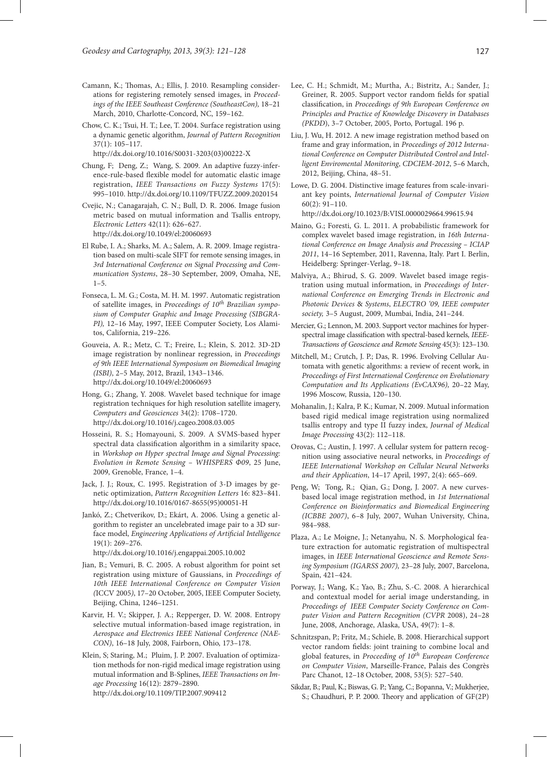- Camann, K.; Thomas, A.; Ellis, J. 2010. Resampling considerations for registering remotely sensed images, in *Proceedings of the IEEE Southeast Conference (SoutheastCon),* 18–21 March, 2010, Charlotte-Concord, NC, 159–162.
- Chow, C. K.; Tsui, H. T.; Lee, T. 2004. Surface registration using a dynamic genetic algorithm, *Journal of Pattern Recognition* 37(1): 105–117.

http://dx.doi.org/10.1016/S0031-3203(03)00222-X

- Chung, F; Deng, Z.; Wang, S. 2009. An adaptive fuzzy-inference-rule-based flexible model for automatic elastic image registration, *IEEE Transactions on Fuzzy Systems* 17(5): 995–1010. http://dx.doi.org/10.1109/TFUZZ.2009.2020154
- Cvejic, N.; Canagarajah, C. N.; Bull, D. R. 2006. Image fusion metric based on mutual information and Tsallis entropy, *Electronic Letters* 42(11): 626–627. http://dx.doi.org/10.1049/el:20060693
- El Rube, I. A.; Sharks, M. A.; Salem, A. R. 2009. Image registration based on multi-scale SIFT for remote sensing images, in *3rd International Conference on Signal Processing and Communication Systems*, 28–30 September, 2009, Omaha, NE,  $1-5.$
- Fonseca, L. M. G.; Costa, M. H. M. 1997. Automatic registration of satellite images, in *Proceedings of 10th Brazilian symposium of Computer Graphic and Image Processing (SIBGRA-PI),* 12–16 May, 1997, IEEE Computer Society, Los Alamitos, California, 219–226.
- Gouveia, A. R.; Metz, C. T.; Freire, L.; Klein, S. 2012. 3D-2D image registration by nonlinear regression, in *Proceedings of 9th IEEE International Symposium on Biomedical Imaging (ISBI)*, 2–5 May, 2012, Brazil, 1343–1346. http://dx.doi.org/10.1049/el:20060693
- Hong, G.; Zhang, Y. 2008. Wavelet based technique for image registration techniques for high resolution satellite imagery, *Computers and Geosciences* 34(2): 1708–1720. http://dx.doi.org/10.1016/j.cageo.2008.03.005
- Hosseini, R. S.; Homayouni, S. 2009. A SVMS-based hyper spectral data classification algorithm in a similarity space, in *Workshop on Hyper spectral Image and Signal Processing: Evolution in Remote Sensing – WHISPERS Ф09*, 25 June, 2009, Grenoble, France, 1–4.
- Jack, J. J.; Roux, C. 1995. Registration of 3-D images by genetic optimization, *Pattern Recognition Letters* 16: 823–841. http://dx.doi.org/10.1016/0167-8655(95)00051-H
- Jankó, Z.; Chetverikov, D.; Ekárt, A. 2006. Using a genetic algorithm to register an uncelebrated image pair to a 3D surface model, *Engineering Applications of Artificial Intelligence* 19(1): 269–276.

http://dx.doi.org/10.1016/j.engappai.2005.10.002

- Jian, B.; Vemuri, B. C. 2005. A robust algorithm for point set registration using mixture of Gaussians, in *Proceedings of 10th IEEE International Conference on Computer Vision (*ICCV 2005*)*, 17–20 October, 2005, IEEE Computer Society, Beijing, China, 1246–1251.
- Karvir, H. V.; Skipper, J. A.; Repperger, D. W. 2008. Entropy selective mutual information-based image registration, in *Aerospace and Electronics IEEE National Conference (NAE-CON)*, 16–18 July, 2008, Fairborn, Ohio, 173–178.
- Klein, S; Staring, M.; Pluim, J. P. 2007. Evaluation of optimization methods for non-rigid medical image registration using mutual information and B-Splines, *IEEE Transactions on Image Processing* 16(12): 2879–2890.

http://dx.doi.org/10.1109/TIP.2007.909412

- Lee, C. H.; Schmidt, M.; Murtha, A.; Bistritz, A.; Sander, J.; Greiner, R. 2005. Support vector random fields for spatial classification, in *Proceedings of 9th European Conference on Principles and Practice of Knowledge Discovery in Databases (PKDD*), 3–7 October, 2005, Porto, Portugal. 196 p.
- Liu, J. Wu, H. 2012. A new image registration method based on frame and gray information, in *Proceedings of 2012 International Conference on Computer Distributed Control and Intelligent Enviromental Monitoring*, *CDCIEM-2012*, 5–6 March, 2012, Beijing, China, 48–51.
- Lowe, D. G. 2004. Distinctive image features from scale-invariant key points, *International Journal of Computer Vision* 60(2): 91–110.

http://dx.doi.org/10.1023/B:VISI.0000029664.99615.94

- Maino, G.; Foresti, G. L. 2011. A probabilistic framework for complex wavelet based image registration, in *16th International Conference on Image Analysis and Processing – ICIAP 2011*, 14–16 September, 2011, Ravenna, Italy. Part I. Berlin, Heidelberg: Springer-Verlag, 9–18.
- Malviya, A.; Bhirud, S. G. 2009. Wavelet based image registration using mutual information, in *Proceedings of International Conference on Emerging Trends in Electronic and Photonic Devices* & *Systems*, *ELECTRO '09, IEEE computer society,* 3–5 August, 2009, Mumbai, India, 241–244.
- Mercier, G.; Lennon, M. 2003. Support vector machines for hyperspectral image classification with spectral-based kernels*, IEEE-Transactions of Geoscience and Remote Sensing* 45(3): 123–130.
- Mitchell, M.; Crutch, J. P.; Das, R. 1996. Evolving Cellular Automata with genetic algorithms: a review of recent work, in *Proceedings of First International Conference on Evolutionary Computation and Its Applications (EvCAХ96),* 20–22 May, 1996 Moscow, Russia, 120–130.
- Mohanalin, J.; Kalra, P. K.; Kumar, N. 2009. Mutual information based rigid medical image registration using normalized tsallis entropy and type II fuzzy index, *Journal of Medical Image Processing* 43(2): 112–118.
- Orovas, C.; Austin, J. 1997. A cellular system for pattern recognition using associative neural networks, in *Proceedings of IEEE International Workshop on Cellular Neural Networks and their Application*, 14–17 April, 1997, 2(4): 665–669.
- Peng, W; Tong, R.; Qian, G.; Dong, J. 2007. A new curvesbased local image registration method, in *1st International Conference on Bioinformatics and Biomedical Engineering (ICBBE 2007)*, 6–8 July, 2007, Wuhan University, China, 984–988.
- Plaza, A.; Le Moigne, J.; Netanyahu, N. S. Morphological feature extraction for automatic registration of multispectral images, in *IEEE International Geoscience and Remote Sensing Symposium (IGARSS 2007),* 23–28 July, 2007, Barcelona, Spain, 421–424.
- Porway, J.; Wang, K.; Yao, B.; Zhu, S.-C. 2008. A hierarchical and contextual model for aerial image understanding, in *Proceedings of IEEE Computer Society Conference on Computer Vision and Pattern Recognition (CVPR* 2008), 24–28 June, 2008, Anchorage, Alaska, USA, 49(7): 1–8.
- Schnitzspan, P.; Fritz, M.; Schiele, B. 2008. Hierarchical support vector random fields: joint training to combine local and global features, in *Proceeding of 10th European Conference on Computer Vision*, Marseille-France, Palais des Congrès Parc Chanot, 12–18 October, 2008, 53(5): 527–540.
- Sikdar, B.; Paul, K.; Biswas, G. P.; Yang, C.; Bopanna, V.; Mukherjee, S.; Chaudhuri, P. P. 2000. Theory and application of GF(2P)